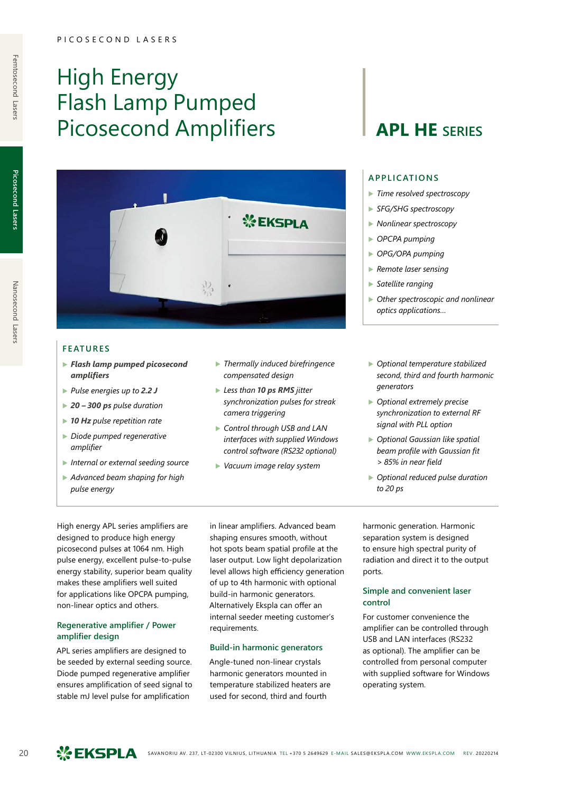# High Energy Flash Lamp Pumped Picosecond Amplifiers | **APL HE** SERIES



## **FEATURES**

- ▶ *Flash lamp pumped picosecond amplifiers*
- ▶ *Pulse energies up to 2.2 J*
- ▶ *20 300 ps pulse duration*
- ▶ *10 Hz pulse repetition rate*
- ▶ *Diode pumped regenerative amplifier*
- ▶ *Internal or external seeding source*
- ▶ *Advanced beam shaping for high pulse energy*
- ▶ *Thermally induced birefringence compensated design*
- ▶ *Less than* **10 ps RMS** jitter *synchronization pulses for streak camera triggering*
- ▶ *Control through USB and LAN interfaces with supplied Windows control software (RS232 optional)*
- ▶ *Vacuum image relay system*

## **APPLICATIONS**

- ▶ *Time resolved spectroscopy*
- ▶ *SFG/SHG spectroscopy*
- ▶ *Nonlinear spectroscopy*
- ▶ *OPCPA pumping*
- ▶ *OPG/OPA pumping*
- ▶ *Remote laser sensing*
- ▶ *Satellite ranging*
- ▶ *Other spectroscopic and nonlinear optics applications…*
- ▶ *Optional temperature stabilized second, third and fourth harmonic generators*
- ▶ *Optional extremely precise synchronization to external RF signal with PLL option*
- ▶ *Optional Gaussian like spatial beam profile with Gaussian fit > 85% in near field*
- ▶ *Optional reduced pulse duration to 20 ps*

High energy APL series amplifiers are designed to produce high energy picosecond pulses at 1064 nm. High pulse energy, excellent pulse-to-pulse energy stability, superior beam quality makes these amplifiers well suited for applications like OPCPA pumping, non-linear optics and others.

### **Regenerative amplifier / Power amplifier design**

APL series amplifiers are designed to be seeded by external seeding source. Diode pumped regenerative amplifier ensures amplification of seed signal to stable mJ level pulse for amplification

in linear amplifiers. Advanced beam shaping ensures smooth, without hot spots beam spatial profile at the laser output. Low light depolarization level allows high efficiency generation of up to 4th harmonic with optional build-in harmonic generators. Alternatively Ekspla can offer an internal seeder meeting customer's requirements.

### **Build-in harmonic generators**

Angle-tuned non-linear crystals harmonic generators mounted in temperature stabilized heaters are used for second, third and fourth

harmonic generation. Harmonic separation system is designed to ensure high spectral purity of radiation and direct it to the output ports.

### **Simple and convenient laser control**

For customer convenience the amplifier can be controlled through USB and LAN interfaces (RS232 as optional). The amplifier can be controlled from personal computer with supplied software for Windows operating system.

**Picosecond Lasers**

Picosecond Lasers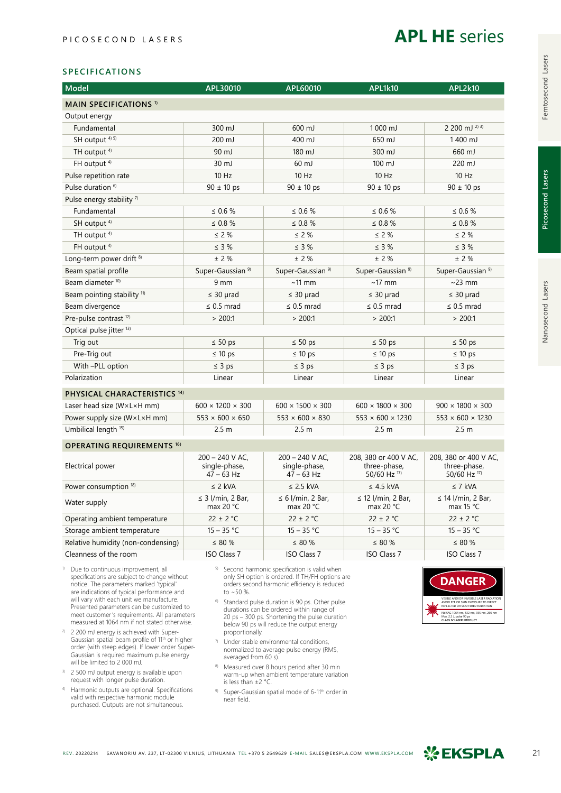

### **SPECIFICATIONS**

| <b>Model</b>                            | APL30010                                           | APL60010                                           | <b>APL1k10</b>                                        | <b>APL2k10</b>                                        |  |  |
|-----------------------------------------|----------------------------------------------------|----------------------------------------------------|-------------------------------------------------------|-------------------------------------------------------|--|--|
| <b>MAIN SPECIFICATIONS 1)</b>           |                                                    |                                                    |                                                       |                                                       |  |  |
| Output energy                           |                                                    |                                                    |                                                       |                                                       |  |  |
| Fundamental                             | $300 \mathrm{mJ}$                                  | $600 \text{ mJ}$                                   | $1000 \text{ m}$                                      | 2 200 mJ $^{2}$ 3)                                    |  |  |
| SH output <sup>4) 5)</sup>              | 200 mJ                                             | 400 mJ                                             | 650 mJ                                                | 1400 mJ                                               |  |  |
| TH output <sup>4)</sup>                 | 90 mJ                                              | 180 mJ                                             | 300 mJ                                                | 660 mJ                                                |  |  |
| FH output <sup>4)</sup>                 | 30 mJ                                              | 60 mJ                                              | $100 \mathrm{mJ}$                                     | 220 mJ                                                |  |  |
| Pulse repetition rate                   | 10 Hz                                              | 10 Hz                                              | 10 Hz                                                 | 10 Hz                                                 |  |  |
| Pulse duration <sup>6)</sup>            | $90 \pm 10$ ps                                     | $90 \pm 10$ ps                                     | $90 \pm 10$ ps                                        | $90 \pm 10$ ps                                        |  |  |
| Pulse energy stability $7$              |                                                    |                                                    |                                                       |                                                       |  |  |
| Fundamental                             | $\leq 0.6 \%$                                      | $\leq 0.6 \%$                                      | $\leq 0.6 \%$                                         | $\leq 0.6 \%$                                         |  |  |
| SH output <sup>4)</sup>                 | $\leq 0.8 \%$                                      | $\leq 0.8 \%$                                      | $\leq 0.8 \%$                                         | $\leq 0.8 \%$                                         |  |  |
| TH output <sup>4)</sup>                 | $\leq$ 2 %                                         | $\leq$ 2 %                                         | $\leq 2\%$                                            | $\leq 2\%$                                            |  |  |
| FH output <sup>4)</sup>                 | $\leq$ 3 %                                         | $\leq$ 3 %                                         | $\leq$ 3 %                                            | $\leq$ 3 %                                            |  |  |
| Long-term power drift <sup>8)</sup>     | $±$ 2 %                                            | ± 2%                                               | $±$ 2 %                                               | $±$ 2 %                                               |  |  |
| Beam spatial profile                    | Super-Gaussian <sup>9)</sup>                       | Super-Gaussian <sup>9)</sup>                       | Super-Gaussian <sup>9)</sup>                          | Super-Gaussian <sup>9)</sup>                          |  |  |
| Beam diameter <sup>10)</sup>            | 9 mm                                               | $~11$ mm                                           | $~17$ mm                                              | $\sim$ 23 mm                                          |  |  |
| Beam pointing stability <sup>11)</sup>  | $\leq$ 30 µrad                                     | $\leq$ 30 µrad                                     | $\leq$ 30 µrad                                        | $\leq$ 30 µrad                                        |  |  |
| Beam divergence                         | $\leq$ 0.5 mrad                                    | $\leq$ 0.5 mrad                                    | $\leq$ 0.5 mrad                                       | $\leq$ 0.5 mrad                                       |  |  |
| Pre-pulse contrast <sup>12)</sup>       | > 200:1                                            | > 200:1                                            | > 200:1                                               | > 200:1                                               |  |  |
| Optical pulse jitter <sup>13)</sup>     |                                                    |                                                    |                                                       |                                                       |  |  |
| Trig out                                | $\leq 50$ ps                                       | $\leq 50$ ps                                       | $\leq 50$ ps                                          | $\leq 50$ ps                                          |  |  |
| Pre-Trig out                            | $\leq 10$ ps                                       | $\leq 10$ ps                                       | $\leq 10$ ps                                          | $\leq 10$ ps                                          |  |  |
| With -PLL option                        | $\leq$ 3 ps                                        | $\leq$ 3 ps                                        | $\leq$ 3 ps                                           | $\leq$ 3 ps                                           |  |  |
| Polarization                            | Linear                                             | Linear                                             | Linear                                                | Linear                                                |  |  |
| PHYSICAL CHARACTERISTICS <sup>14)</sup> |                                                    |                                                    |                                                       |                                                       |  |  |
| Laser head size (W×L×H mm)              | $600 \times 1200 \times 300$                       | $600 \times 1500 \times 300$                       | $600 \times 1800 \times 300$                          | $900 \times 1800 \times 300$                          |  |  |
| Power supply size (W×L×H mm)            | $553 \times 600 \times 650$                        | $553 \times 600 \times 830$                        | $553 \times 600 \times 1230$                          | $553 \times 600 \times 1230$                          |  |  |
| Umbilical length <sup>15)</sup>         | 2.5 <sub>m</sub>                                   | 2.5 <sub>m</sub>                                   | 2.5 <sub>m</sub>                                      | 2.5 <sub>m</sub>                                      |  |  |
| <b>OPERATING REQUIREMENTS 16)</b>       |                                                    |                                                    |                                                       |                                                       |  |  |
| Electrical power                        | $200 - 240$ V AC,<br>single-phase,<br>$47 - 63$ Hz | $200 - 240$ V AC.<br>single-phase,<br>$47 - 63$ Hz | 208, 380 or 400 V AC,<br>three-phase,<br>50/60 Hz 17) | 208, 380 or 400 V AC,<br>three-phase,<br>50/60 Hz 17) |  |  |
| Power consumption 18)                   | $\leq$ 2 kVA                                       | $\leq$ 2.5 kVA                                     | $\leq$ 4.5 kVA                                        | $\leq$ 7 kVA                                          |  |  |
| Water supply                            | $\leq$ 3 l/min, 2 Bar,<br>max 20 $°C$              | $\leq 6$ l/min, 2 Bar,<br>max 20 $°C$              | $\leq$ 12 l/min, 2 Bar,<br>max 20 $°C$                | $\leq$ 14 l/min, 2 Bar,<br>max 15 $°C$                |  |  |
| Operating ambient temperature           | $22 \pm 2$ °C                                      | $22 \pm 2$ °C                                      | $22 \pm 2$ °C                                         | $22 \pm 2$ °C                                         |  |  |
| Storage ambient temperature             | $15 - 35 °C$                                       | $15 - 35 °C$                                       | $15 - 35 °C$                                          | $15 - 35 °C$                                          |  |  |
| Relative humidity (non-condensing)      | $\leq 80 \%$                                       | $\leq 80 \%$                                       | $\leq 80 \%$                                          | $\leq$ 80 %                                           |  |  |
| Cleanness of the room                   | <b>ISO Class 7</b>                                 | <b>ISO Class 7</b>                                 | <b>ISO Class 7</b>                                    | <b>ISO Class 7</b>                                    |  |  |
|                                         |                                                    |                                                    |                                                       |                                                       |  |  |

- 1) Due to continuous improvement, all specifications are subject to change without notice. The parameters marked 'typical' are indications of typical performance and will vary with each unit we manufacture. Presented parameters can be customized to meet customer's requirements. All parameters measured at 1064 nm if not stated otherwise.
- 2) 2 200 mJ energy is achieved with Super-Gaussian spatial beam profile of 11th or higher order (with steep edges). If lower order Super-Gaussian is required maximum pulse energy will be limited to 2 000 mJ.
- <sup>3)</sup> 2 500 mJ output energy is available upon request with longer pulse duration.
- 4) Harmonic outputs are optional. Specifications valid with respective harmonic module purchased. Outputs are not simultaneous.
- 5) Second harmonic specification is valid when only SH option is ordered. If TH/FH options are orders second harmonic efficiency is reduced to ~50 %.
- 6) Standard pulse duration is 90 ps. Other pulse durations can be ordered within range of 20 ps – 300 ps. Shortening the pulse duration below 90 ps will reduce the output energy proportionally.
- 7) Under stable environmental conditions, normalized to average pulse energy (RMS, averaged from 60 s).
- 8) Measured over 8 hours period after 30 min warm-up when ambient temperature variation is less than ±2 °C.
- 9) Super-Gaussian spatial mode of 6-11<sup>th</sup> order in near field.



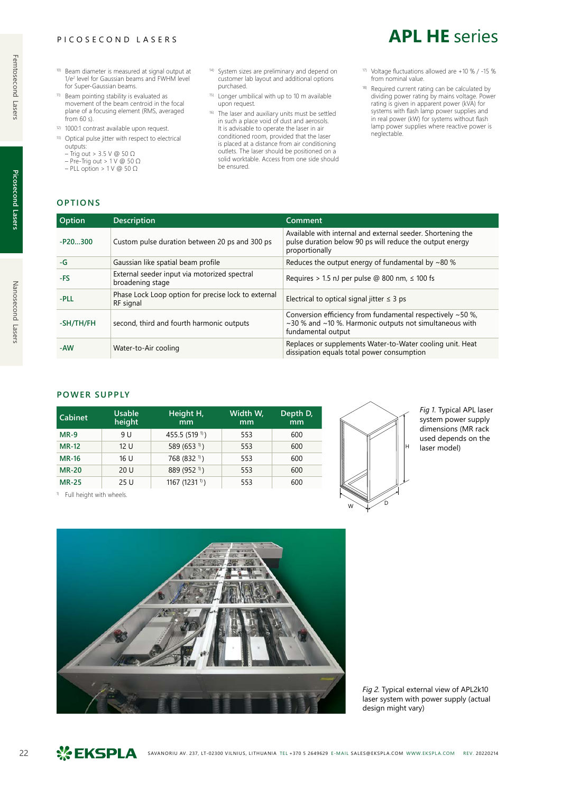### PICOSECOND LASERS

- 10) Beam diameter is measured at signal output at 1/e<sup>2</sup> level for Gaussian beams and FWHM level for Super-Gaussian beams.
- 11) Beam pointing stability is evaluated as movement of the beam centroid in the focal plane of a focusing element (RMS, averaged from 60 s).
- 12) 1000:1 contrast available upon request.
- 13) Optical pulse jitter with respect to electrical outputs:
	- Trig out > 3.5 V @ 50 Ω
	- Pre-Trig out >  $1 \vee \textcircled{a} 50 \Omega$  $-$  PLL option > 1 V @ 50  $\Omega$

**OPTIONS**

- 14) System sizes are preliminary and depend on customer lab layout and additional options purchased.
- 15) Longer umbilical with up to 10 m available upon request.
- <sup>16)</sup> The laser and auxiliary units must be settled in such a place void of dust and aerosols. It is advisable to operate the laser in air conditioned room, provided that the laser is placed at a distance from air conditioning outlets. The laser should be positioned on a solid worktable. Access from one side should be ensured.
- 17) Voltage fluctuations allowed are +10 % / -15 % from nominal value.

**APL HE** series

18) Required current rating can be calculated by dividing power rating by mains voltage. Power rating is given in apparent power (kVA) for systems with flash lamp power supplies and in real power (kW) for systems without flash lamp power supplies where reactive power is neglectable.

**Picosecond Lasers**

Picosecond Lasers

Nanosecond Lasers

| Option    | <b>Description</b>                                               | Comment                                     |
|-----------|------------------------------------------------------------------|---------------------------------------------|
| $-P20300$ | Custom pulse duration between 20 ps and 300 ps                   | Available w<br>pulse durat<br>proportiona   |
| $-G$      | Gaussian like spatial beam profile                               | Reduces the                                 |
| -FS       | External seeder input via motorized spectral<br>broadening stage | Requires $>$                                |
| -PLL      | Phase Lock Loop option for precise lock to external<br>RF signal | Electrical to                               |
| -SH/TH/FH | second, third and fourth harmonic outputs                        | Conversion<br>$\sim$ 30 % and<br>fundamenta |
|           |                                                                  | Replaces or                                 |

# Available with internal and external seeder. Shortening the pulse duration below 90 ps will reduce the output energy proportionally Reduces the output energy of fundamental by ~80 % Requires > 1.5 nJ per pulse @ 800 nm,  $\leq$  100 fs Electrical to optical signal jitter  $\leq 3$  ps Conversion efficiency from fundamental respectively ~50 %, ~30 % and ~10 %. Harmonic outputs not simultaneous with fundamental output -AW Water-to-Air cooling **Replaces or supplements Water-to-Water cooling unit. Heat**

## **POWER SUPPLY**

| <b>Cabinet</b> | Usable<br>height | Height H,<br>mm            | Width W,<br>mm | Depth D,<br>mm |
|----------------|------------------|----------------------------|----------------|----------------|
| $MR-9$         | 9 U              | 455.5 (519 <sup>1)</sup> ) | 553            | 600            |
| <b>MR-12</b>   | 12U              | 589 (653 <sup>1)</sup> )   | 553            | 600            |
| <b>MR-16</b>   | 16 U             | 768 (832 <sup>1)</sup> )   | 553            | 600            |
| <b>MR-20</b>   | 20U              | 889 (952 <sup>1)</sup> )   | 553            | 600            |
| <b>MR-25</b>   | 25U              | 1167 (1231 $\sqrt{1}$ )    | 553            | 600            |

<sup>1)</sup> Full height with wheels.



dissipation equals total power consumption

*Fig 1.* Typical APL laser system power supply dimensions (MR rack used depends on the laser model)



*Fig 2.* Typical external view of APL2k10 laser system with power supply (actual design might vary)

# Femtosecond Lasers Nanosecond Lasers Picosecond Lasers Femtosecond Lasers